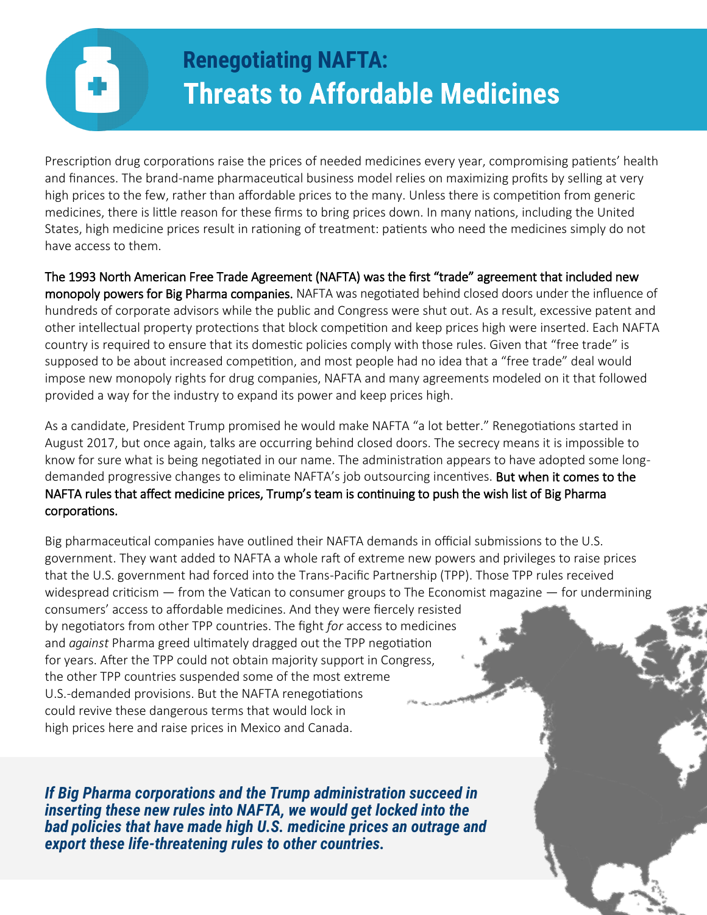# **Renegotiating NAFTA: Threats to Affordable Medicines**

Prescription drug corporations raise the prices of needed medicines every year, compromising patients' health and finances. The brand-name pharmaceutical business model relies on maximizing profits by selling at very high prices to the few, rather than affordable prices to the many. Unless there is competition from generic medicines, there is little reason for these firms to bring prices down. In many nations, including the United States, high medicine prices result in rationing of treatment: patients who need the medicines simply do not have access to them.

The 1993 North American Free Trade Agreement (NAFTA) was the first "trade" agreement that included new monopoly powers for Big Pharma companies. NAFTA was negotiated behind closed doors under the influence of hundreds of corporate advisors while the public and Congress were shut out. As a result, excessive patent and other intellectual property protections that block competition and keep prices high were inserted. Each NAFTA country is required to ensure that its domestic policies comply with those rules. Given that "free trade" is supposed to be about increased competition, and most people had no idea that a "free trade" deal would impose new monopoly rights for drug companies, NAFTA and many agreements modeled on it that followed provided a way for the industry to expand its power and keep prices high.

As a candidate, President Trump promised he would make NAFTA "a lot better." Renegotiations started in August 2017, but once again, talks are occurring behind closed doors. The secrecy means it is impossible to know for sure what is being negotiated in our name. The administration appears to have adopted some longdemanded progressive changes to eliminate NAFTA's job outsourcing incentives. But when it comes to the NAFTA rules that affect medicine prices, Trump's team is continuing to push the wish list of Big Pharma corporations.

Big pharmaceutical companies have outlined their NAFTA demands in official submissions to the U.S. government. They want added to NAFTA a whole raft of extreme new powers and privileges to raise prices that the U.S. government had forced into the Trans-Pacific Partnership (TPP). Those TPP rules received widespread criticism  $-$  from the Vatican to consumer groups to The Economist magazine  $-$  for undermining consumers' access to affordable medicines. And they were fiercely resisted by negotiators from other TPP countries. The fight *for* access to medicines and *against* Pharma greed ultimately dragged out the TPP negotiation for years. After the TPP could not obtain majority support in Congress, the other TPP countries suspended some of the most extreme U.S.-demanded provisions. But the NAFTA renegotiations could revive these dangerous terms that would lock in high prices here and raise prices in Mexico and Canada.

*If Big Pharma corporations and the Trump administration succeed in inserting these new rules into NAFTA, we would get locked into the bad policies that have made high U.S. medicine prices an outrage and export these life-threatening rules to other countries.*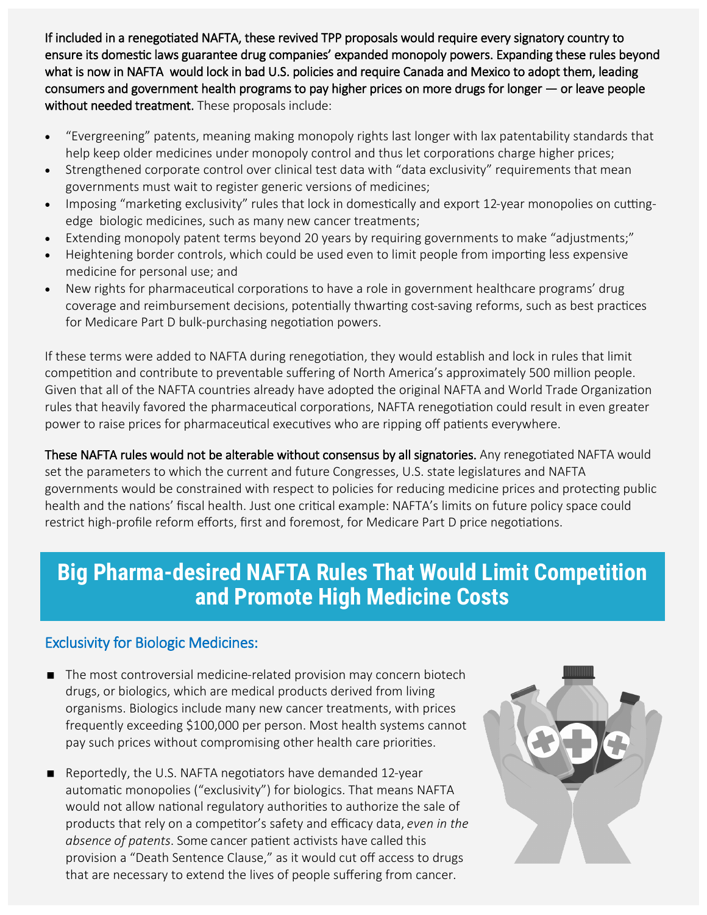If included in a renegotiated NAFTA, these revived TPP proposals would require every signatory country to ensure its domestic laws guarantee drug companies' expanded monopoly powers. Expanding these rules beyond what is now in NAFTA would lock in bad U.S. policies and require Canada and Mexico to adopt them, leading consumers and government health programs to pay higher prices on more drugs for longer — or leave people without needed treatment. These proposals include:

- "Evergreening" patents, meaning making monopoly rights last longer with lax patentability standards that help keep older medicines under monopoly control and thus let corporations charge higher prices;
- Strengthened corporate control over clinical test data with "data exclusivity" requirements that mean governments must wait to register generic versions of medicines;
- Imposing "marketing exclusivity" rules that lock in domestically and export 12-year monopolies on cuttingedge biologic medicines, such as many new cancer treatments;
- Extending monopoly patent terms beyond 20 years by requiring governments to make "adjustments;"
- Heightening border controls, which could be used even to limit people from importing less expensive medicine for personal use; and
- New rights for pharmaceutical corporations to have a role in government healthcare programs' drug coverage and reimbursement decisions, potentially thwarting cost-saving reforms, such as best practices for Medicare Part D bulk-purchasing negotiation powers.

If these terms were added to NAFTA during renegotiation, they would establish and lock in rules that limit competition and contribute to preventable suffering of North America's approximately 500 million people. Given that all of the NAFTA countries already have adopted the original NAFTA and World Trade Organization rules that heavily favored the pharmaceutical corporations, NAFTA renegotiation could result in even greater power to raise prices for pharmaceutical executives who are ripping off patients everywhere.

These NAFTA rules would not be alterable without consensus by all signatories. Any renegotiated NAFTA would set the parameters to which the current and future Congresses, U.S. state legislatures and NAFTA governments would be constrained with respect to policies for reducing medicine prices and protecting public health and the nations' fiscal health. Just one critical example: NAFTA's limits on future policy space could restrict high-profile reform efforts, first and foremost, for Medicare Part D price negotiations.

### **Big Pharma-desired NAFTA Rules That Would Limit Competition and Promote High Medicine Costs**

### Exclusivity for Biologic Medicines:

- The most controversial medicine-related provision may concern biotech drugs, or biologics, which are medical products derived from living organisms. Biologics include many new cancer treatments, with prices frequently exceeding \$100,000 per person. Most health systems cannot pay such prices without compromising other health care priorities.
- Reportedly, the U.S. NAFTA negotiators have demanded 12-year automatic monopolies ("exclusivity") for biologics. That means NAFTA would not allow national regulatory authorities to authorize the sale of products that rely on a competitor's safety and efficacy data, *even in the absence of patents*. Some cancer patient activists have called this provision a "Death Sentence Clause," as it would cut off access to drugs that are necessary to extend the lives of people suffering from cancer.

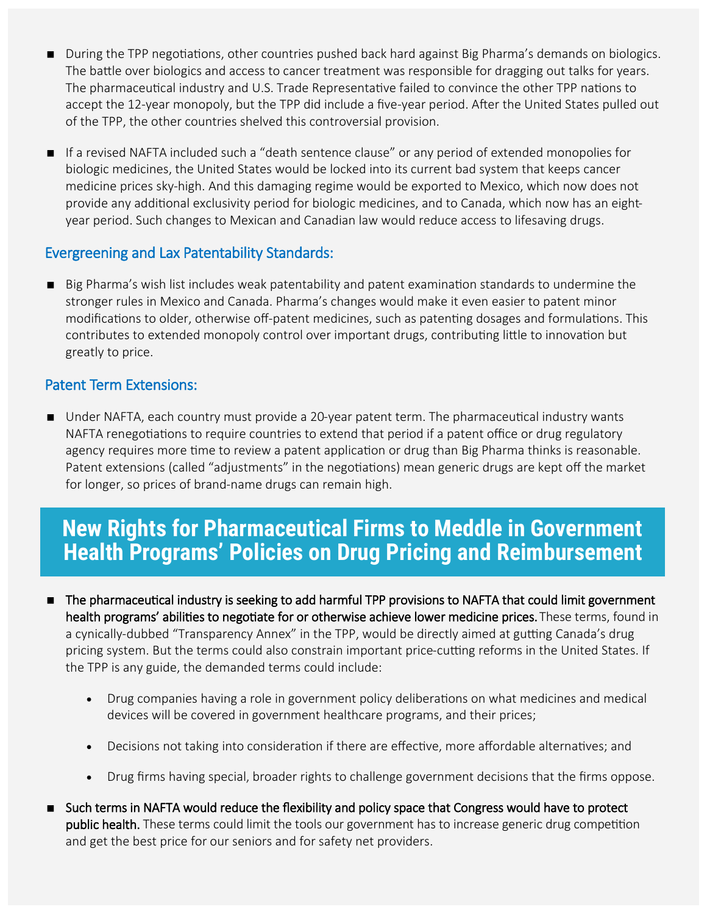- **During the TPP negotiations, other countries pushed back hard against Big Pharma's demands on biologics.** The battle over biologics and access to cancer treatment was responsible for dragging out talks for years. The pharmaceutical industry and U.S. Trade Representative failed to convince the other TPP nations to accept the 12-year monopoly, but the TPP did include a five-year period. After the United States pulled out of the TPP, the other countries shelved this controversial provision.
- If a revised NAFTA included such a "death sentence clause" or any period of extended monopolies for biologic medicines, the United States would be locked into its current bad system that keeps cancer medicine prices sky-high. And this damaging regime would be exported to Mexico, which now does not provide any additional exclusivity period for biologic medicines, and to Canada, which now has an eightyear period. Such changes to Mexican and Canadian law would reduce access to lifesaving drugs.

#### Evergreening and Lax Patentability Standards:

Big Pharma's wish list includes weak patentability and patent examination standards to undermine the stronger rules in Mexico and Canada. Pharma's changes would make it even easier to patent minor modifications to older, otherwise off-patent medicines, such as patenting dosages and formulations. This contributes to extended monopoly control over important drugs, contributing little to innovation but greatly to price.

#### Patent Term Extensions:

 Under NAFTA, each country must provide a 20-year patent term. The pharmaceutical industry wants NAFTA renegotiations to require countries to extend that period if a patent office or drug regulatory agency requires more time to review a patent application or drug than Big Pharma thinks is reasonable. Patent extensions (called "adjustments" in the negotiations) mean generic drugs are kept off the market for longer, so prices of brand-name drugs can remain high.

## **New Rights for Pharmaceutical Firms to Meddle in Government Health Programs' Policies on Drug Pricing and Reimbursement**

- The pharmaceutical industry is seeking to add harmful TPP provisions to NAFTA that could limit government health programs' abilities to negotiate for or otherwise achieve lower medicine prices. These terms, found in a cynically-dubbed "Transparency Annex" in the TPP, would be directly aimed at gutting Canada's drug pricing system. But the terms could also constrain important price-cutting reforms in the United States. If the TPP is any guide, the demanded terms could include:
	- Drug companies having a role in government policy deliberations on what medicines and medical devices will be covered in government healthcare programs, and their prices;
	- Decisions not taking into consideration if there are effective, more affordable alternatives; and
	- Drug firms having special, broader rights to challenge government decisions that the firms oppose.
- **Such terms in NAFTA would reduce the flexibility and policy space that Congress would have to protect public health.** These terms could limit the tools our government has to increase generic drug competition and get the best price for our seniors and for safety net providers.